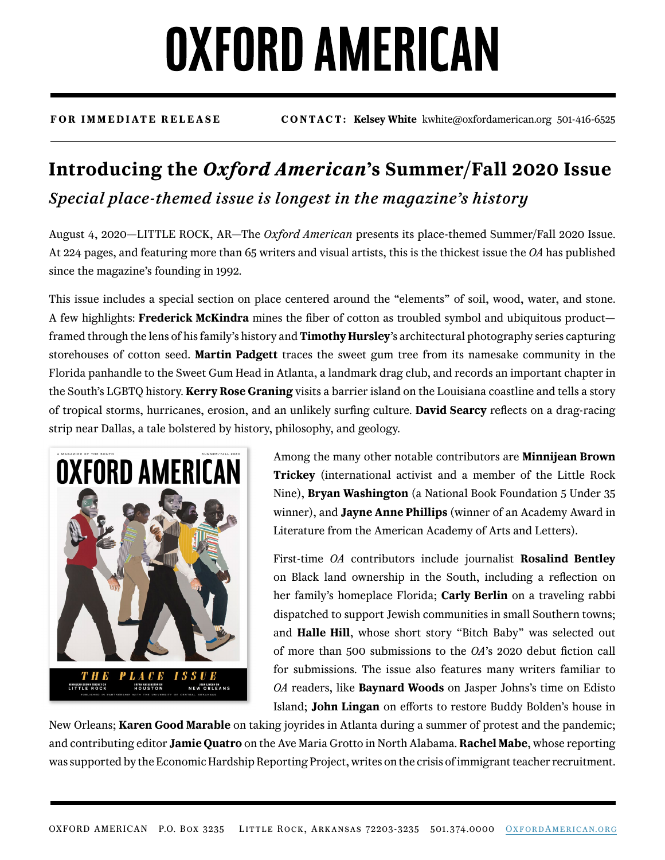# **OXFORD AMERICAN**

**FOR IMMEDIATE RELEASE CONTACT: Kelsey White** kwhite@oxfordamerican.org 501-416-6525

### **Introducing the** *Oxford American***'s Summer/Fall 2020 Issue** *Special place-themed issue is longest in the magazine's history*

August 4, 2020—LITTLE ROCK, AR—The *Oxford American* presents its place-themed Summer/Fall 2020 Issue. At 224 pages, and featuring more than 65 writers and visual artists, this is the thickest issue the *OA* has published since the magazine's founding in 1992.

This issue includes a special section on place centered around the "elements" of soil, wood, water, and stone. A few highlights: **Frederick McKindra** mines the fiber of cotton as troubled symbol and ubiquitous product framed through the lens of his family's history and **Timothy Hursley**'s architectural photography series capturing storehouses of cotton seed. **Martin Padgett** traces the sweet gum tree from its namesake community in the Florida panhandle to the Sweet Gum Head in Atlanta, a landmark drag club, and records an important chapter in the South's LGBTQ history. **Kerry Rose Graning** visits a barrier island on the Louisiana coastline and tells a story of tropical storms, hurricanes, erosion, and an unlikely surfing culture. **David Searcy** reflects on a drag-racing strip near Dallas, a tale bolstered by history, philosophy, and geology.



Among the many other notable contributors are **Minnijean Brown Trickey** (international activist and a member of the Little Rock Nine), **Bryan Washington** (a National Book Foundation 5 Under 35 winner), and **Jayne Anne Phillips** (winner of an Academy Award in Literature from the American Academy of Arts and Letters).

First-time *OA* contributors include journalist **Rosalind Bentley** on Black land ownership in the South, including a reflection on her family's homeplace Florida; **Carly Berlin** on a traveling rabbi dispatched to support Jewish communities in small Southern towns; and **Halle Hill**, whose short story "Bitch Baby" was selected out of more than 500 submissions to the *OA*'s 2020 debut fiction call for submissions. The issue also features many writers familiar to *OA* readers, like **Baynard Woods** on Jasper Johns's time on Edisto Island; **John Lingan** on efforts to restore Buddy Bolden's house in

New Orleans; **Karen Good Marable** on taking joyrides in Atlanta during a summer of protest and the pandemic; and contributing editor **Jamie Quatro** on the Ave Maria Grotto in North Alabama. **Rachel Mabe**, whose reporting was supported by the Economic Hardship Reporting Project, writes on the crisis of immigrant teacher recruitment.